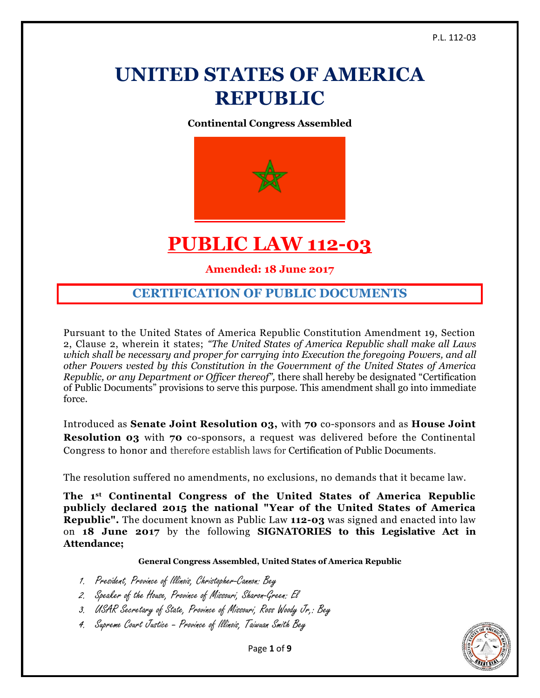# **UNITED STATES OF AMERICA REPUBLIC**

**Continental Congress Assembled**



# **PUBLIC LAW 112-03**

**Amended: 18 June 2017**

## **CERTIFICATION OF PUBLIC DOCUMENTS**

Pursuant to the United States of America Republic Constitution Amendment 19, Section 2, Clause 2, wherein it states; *"The United States of America Republic shall make all Laws which shall be necessary and proper for carrying into Execution the foregoing Powers, and all other Powers vested by this Constitution in the Government of the United States of America Republic, or any Department or Officer thereof",* there shall hereby be designated "Certification of Public Documents" provisions to serve this purpose. This amendment shall go into immediate force.

Introduced as **Senate Joint Resolution 03,** with **70** co-sponsors and as **House Joint Resolution 03** with **70** co-sponsors, a request was delivered before the Continental Congress to honor and therefore establish laws for Certification of Public Documents.

The resolution suffered no amendments, no exclusions, no demands that it became law.

**The 1st Continental Congress of the United States of America Republic publicly declared 2015 the national "Year of the United States of America Republic".** The document known as Public Law **112-03** was signed and enacted into law on **18 June 2017** by the following **SIGNATORIES to this Legislative Act in Attendance;**

#### **General Congress Assembled, United States of America Republic**

- 1. President, Province of Illinois, Christopher-Cannon: Bey
- 2. Speaker of the House, Province of Missouri, Sharon-Green: El
- 3. USAR Secretary of State, Province of Missouri, Ross Woody Jr,: Bey
- 4. Supreme Court Justice Province of Illinois, Taiwuan Smith Bey



Page **1** of **9**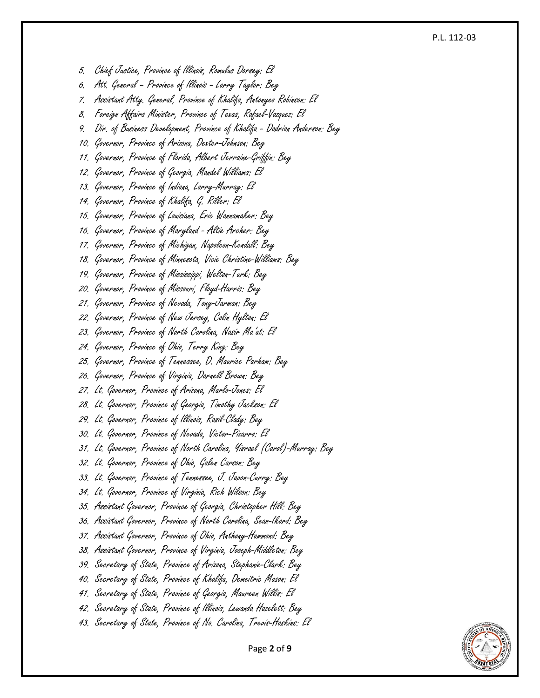#### P.L. 112 -03

5. Chief Justice, Province of Illinois, Romulus Dorsey: El

6. Att. General – Province of Illinois - Larry Taylor: Bey

7. Assistant Atty. General, Province of Khalifa, Antonyeo Robinson: El

8. Foreign Affairs Minister, Province of Texas, Rafae l-Vazquez: El

9. Dir. of Business Development, Province of Khalifa – Dadrian Anderson: Bey

10. Governor, Province of Arizona, Dexter-Johnson: Bey

11. Governor, Province of Florida, Albert Jerraine -Griffin: Bey

12. Governor, Province of Georgia, Mandel Williams: El

13. Governor, Province of Indiana, Larry -Murray: El

14. Governor, Province of Khalifa, G. Riller: El

15. Governor, Province of Louisiana, Eric Wannamaker: Bey

16. Governor, Province of Maryland - Altie Archer: Bey

17. Governor, Province of Michigan, Napoleon -Kendall: Bey

18. Governor, Province of Minnesota, Vicie Christine -Williams: Bey

19. Governor, Province of Mississippi, Welton -Turk: Bey

20. Governor, Province of Missouri, Floyd-Harris: Bey

21. Governor, Province of Nevada, Tony -Jarman: Bey

22. Governor, Province of New Jersey, Colin Hylton: El

23. Governor, Province of North Carolina, Nasir Ma'at: El

24. Governor, Province of Ohio, Terry King: Bey

25. Governor, Province of Tennessee, D. Maurice Parham: Bey

26. Governor, Province of Virginia, Darnell Brown: Bey

27. Lt. Governor, Province of Arizona, Marlo -Jones: El

28. Lt. Governor, Province of Georgia, Timothy Jackson: El

29. Lt. Governor, Province of Illinois, Rasil-Clady: Bey

30. Lt. Governor, Province of Nevada, Victor-Pizarro: El

31. Lt. Governor, Province of North Carolina, Yisrael (Carol) -Murray: Bey

32. Lt. Governor, Province of Ohio, Galen Carson: Bey

33. Lt. Governor, Province of Tennessee, J. Javon -Curry: Bey

34. Lt. Governor, Province of Virginia, Rich Wilson: Bey

35. Assistant Governor, Province of Georgia, Christopher Hill: Bey

36. Assistant Governor, Province of North Carolina, Sean-Ikard: Bey

37. Assistant Governor, Province of Ohio, Anthony -Hammond: Bey

38. Assistant Governor, Province of Virginia, Joseph -Middleton: Bey

39. Secretary of State, Province of Arizona, Stephanie -Clark: Bey

40. Secretary of State, Province of Khalifa, Demeitric Mason: El

41. Secretary of State, Province of Georgia, Maureen Willis: El

42. Secretary of State, Province of Illinois, Lewanda Hazelett: Bey

43. Secretary of State, Province of No. Carolina, Trevis-Haskins: El



Page **2** of **9**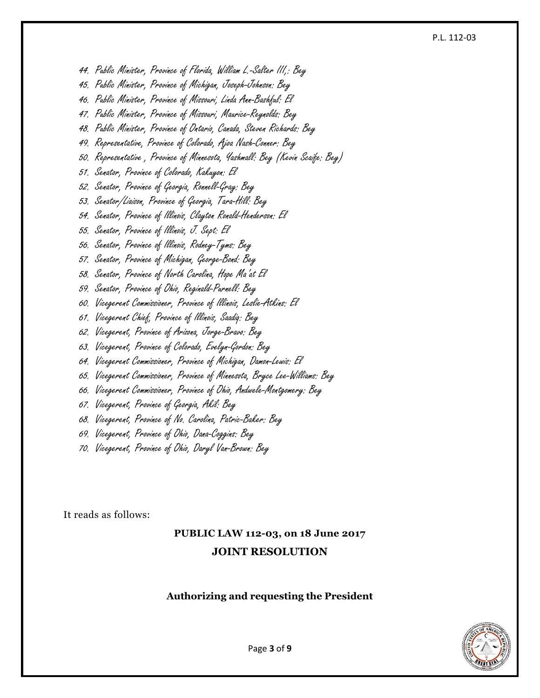#### P.L. 112-03

44. Public Minister, Province of Florida, William L.-Salter III,: Bey

45. Public Minister, Province of Michigan, Joseph-Johnson: Bey

46. Public Minister, Province of Missouri, Linda Ann-Bashful: El

47. Public Minister, Province of Missouri, Maurice-Reynolds: Bey

48. Public Minister, Province of Ontario, Canada, Steven Richards: Bey

49. Representative, Province of Colorado, Ajoa Nash-Conner: Bey

50. Representative , Province of Minnesota, Yashmall: Bey (Kevin Scaife: Bey)

51. Senator, Province of Colorado, Kakuyon: El

52. Senator, Province of Georgia, Ronnell-Gray: Bey

53. Senator/Liaison, Province of Georgia, Tara-Hill: Bey

54. Senator, Province of Illinois, Clayton Ronald-Henderson: El

55. Senator, Province of Illinois, J. Sept: El

56. Senator, Province of Illinois, Rodney-Tyms: Bey

57. Senator, Province of Michigan, George-Bond: Bey

58. Senator, Province of North Carolina, Hope Ma'at El

59. Senator, Province of Ohio, Reginald-Purnell: Bey

60. Vicegerent Commissioner, Province of Illinois, Leslie-Atkins: El

61. Vicegerent Chief, Province of Illinois, Saadiq: Bey

62. Vicegerent, Province of Arizona, Jorge-Bravo: Bey

63. Vicegerent, Province of Colorado, Evelyn-Gordon: Bey

64. Vicegerent Commissioner, Province of Michigan, Damon-Lewis: El

65. Vicegerent Commissioner, Province of Minnesota, Bryce Lee-Williams: Bey

66. Vicegerent Commissioner, Province of Ohio, Andwele-Montgomery: Bey

67. Vicegerent, Province of Georgia, Akil: Bey

68. Vicegerent, Province of No. Carolina, Patric-Baker: Bey

69. Vicegerent, Province of Ohio, Dana-Coggins: Bey

70. Vicegerent, Province of Ohio, Daryl Van-Brown: Bey

It reads as follows:

# **PUBLIC LAW 112-03, on 18 June 2017 JOINT RESOLUTION**

#### **Authorizing and requesting the President**



Page **3** of **9**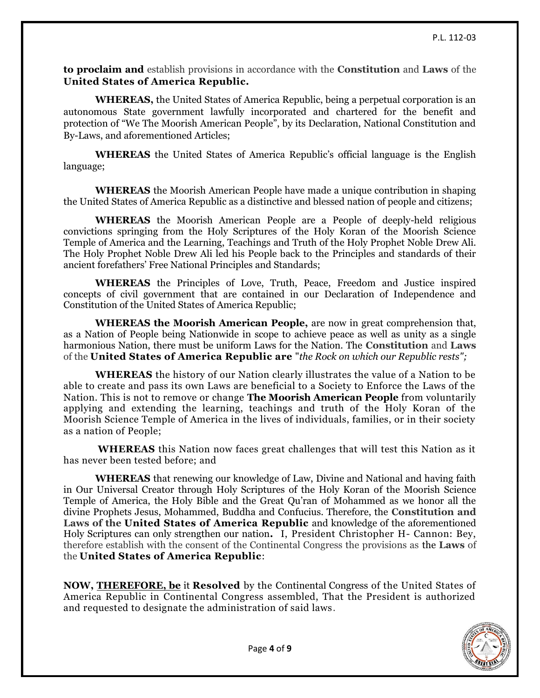**to proclaim and** establish provisions in accordance with the **Constitution** and **Laws** of the **United States of America Republic.**

**WHEREAS,** the United States of America Republic, being a perpetual corporation is an autonomous State government lawfully incorporated and chartered for the benefit and protection of "We The Moorish American People", by its Declaration, National Constitution and By-Laws, and aforementioned Articles;

**WHEREAS** the United States of America Republic's official language is the English language;

**WHEREAS** the Moorish American People have made a unique contribution in shaping the United States of America Republic as a distinctive and blessed nation of people and citizens;

**WHEREAS** the Moorish American People are a People of deeply-held religious convictions springing from the Holy Scriptures of the Holy Koran of the Moorish Science Temple of America and the Learning, Teachings and Truth of the Holy Prophet Noble Drew Ali. The Holy Prophet Noble Drew Ali led his People back to the Principles and standards of their ancient forefathers' Free National Principles and Standards;

**WHEREAS** the Principles of Love, Truth, Peace, Freedom and Justice inspired concepts of civil government that are contained in our Declaration of Independence and Constitution of the United States of America Republic;

**WHEREAS the Moorish American People,** are now in great comprehension that, as a Nation of People being Nationwide in scope to achieve peace as well as unity as a single harmonious Nation, there must be uniform Laws for the Nation. The **Constitution** and **Laws** of the **United States of America Republic are** "*the Rock on which our Republic rests";*

**WHEREAS** the history of our Nation clearly illustrates the value of a Nation to be able to create and pass its own Laws are beneficial to a Society to Enforce the Laws of the Nation. This is not to remove or change **The Moorish American People** from voluntarily applying and extending the learning, teachings and truth of the Holy Koran of the Moorish Science Temple of America in the lives of individuals, families, or in their society as a nation of People;

**WHEREAS** this Nation now faces great challenges that will test this Nation as it has never been tested before; and

**WHEREAS** that renewing our knowledge of Law, Divine and National and having faith in Our Universal Creator through Holy Scriptures of the Holy Koran of the Moorish Science Temple of America, the Holy Bible and the Great Qu'ran of Mohammed as we honor all the divine Prophets Jesus, Mohammed, Buddha and Confucius. Therefore, the **Constitution and Laws of the United States of America Republic** and knowledge of the aforementioned Holy Scriptures can only strengthen our nation**.** I, President Christopher H- Cannon: Bey, therefore establish with the consent of the Continental Congress the provisions as the **Laws** of the **United States of America Republic**:

**NOW, [THEREFORE, be](http://therefore.be/)** it **Resolved** by the Continental Congress of the United States of America Republic in Continental Congress assembled, That the President is authorized and requested to designate the administration of said laws.

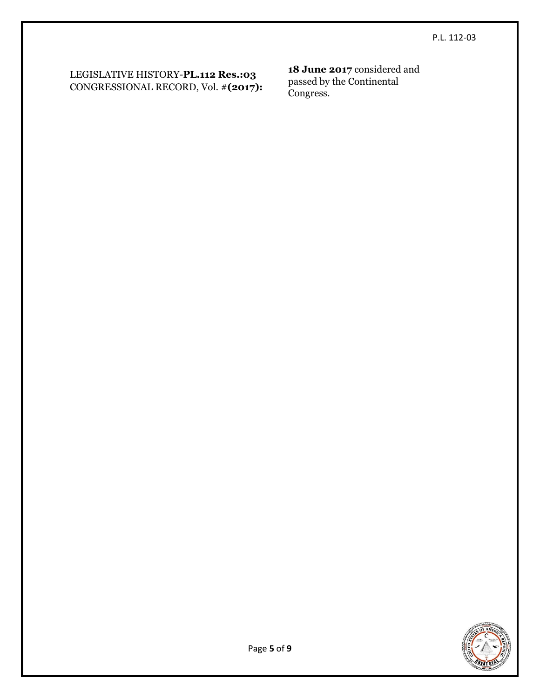LEGISLATIVE HISTORY-**PL.112 Res.:03**  CONGRESSIONAL RECORD, Vol. #**(2017):**

**18 June 2017** considered and passed by the Continental Congress.

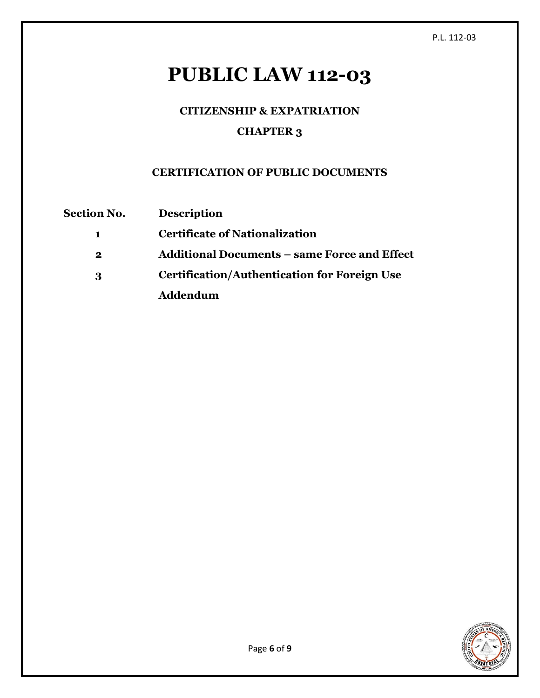# **PUBLIC LAW 112-03**

# **CITIZENSHIP & EXPATRIATION CHAPTER 3**

## **CERTIFICATION OF PUBLIC DOCUMENTS**

| <b>Section No.</b> | <b>Description</b>                                  |
|--------------------|-----------------------------------------------------|
| 1                  | <b>Certificate of Nationalization</b>               |
| $\bf{2}$           | <b>Additional Documents – same Force and Effect</b> |
| 3                  | <b>Certification/Authentication for Foreign Use</b> |
|                    | Addendum                                            |

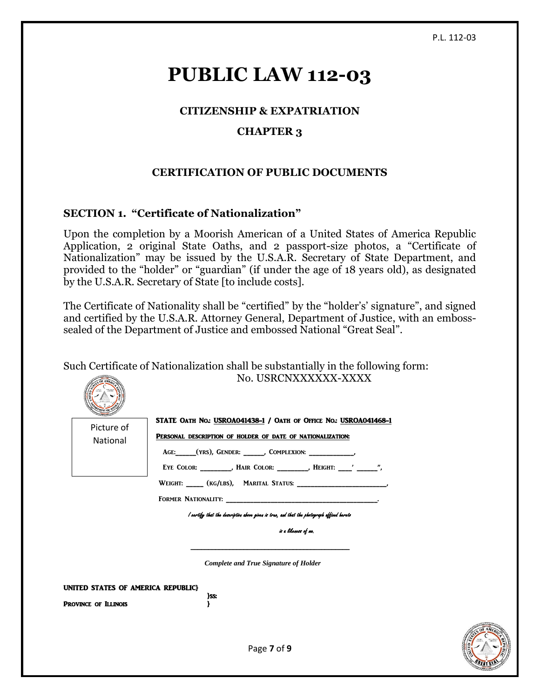GREAT SEAL

# **PUBLIC LAW 112-03**

#### **CITIZENSHIP & EXPATRIATION**

#### **CHAPTER 3**

### **CERTIFICATION OF PUBLIC DOCUMENTS**

#### **SECTION 1. "Certificate of Nationalization"**

Upon the completion by a Moorish American of a United States of America Republic Application, 2 original State Oaths, and 2 passport-size photos, a "Certificate of Nationalization" may be issued by the U.S.A.R. Secretary of State Department, and provided to the "holder" or "guardian" (if under the age of 18 years old), as designated by the U.S.A.R. Secretary of State [to include costs].

The Certificate of Nationality shall be "certified" by the "holder's' signature", and signed and certified by the U.S.A.R. Attorney General, Department of Justice, with an embosssealed of the Department of Justice and embossed National "Great Seal".

Such Certificate of Nationalization shall be substantially in the following form: No. USRCNXXXXXX-XXXX

| Picture of                         | STATE OATH NO.: USROA041438-1 / OATH OF OFFICE NO.: USROA041468-1                                                                                                                                                              |  |
|------------------------------------|--------------------------------------------------------------------------------------------------------------------------------------------------------------------------------------------------------------------------------|--|
| National                           | PERSONAL DESCRIPTION OF HOLDER OF DATE OF NATIONALIZATION:                                                                                                                                                                     |  |
|                                    | AGE: (YRS), GENDER: _____, COMPLEXION: __________,                                                                                                                                                                             |  |
|                                    | EYE COLOR: _________, HAIR COLOR: ________, HEIGHT: ____' ______",                                                                                                                                                             |  |
|                                    |                                                                                                                                                                                                                                |  |
|                                    | FORMER NATIONALITY: New York States and American contract to the Contract of Contract of Contract of Contract of Contract of Contract of Contract of Contract of Contract of Contract of Contract of Contract of Contract of C |  |
|                                    | I certify that the description above given is trae, and that the photograph affixed hereto                                                                                                                                     |  |
|                                    | is a likeness of me.                                                                                                                                                                                                           |  |
|                                    | <b>Complete and True Signature of Holder</b>                                                                                                                                                                                   |  |
| UNITED STATES OF AMERICA REPUBLIC} |                                                                                                                                                                                                                                |  |
| <b>PROVINCE OF ILLINOIS</b>        | }ss:                                                                                                                                                                                                                           |  |
|                                    |                                                                                                                                                                                                                                |  |
|                                    |                                                                                                                                                                                                                                |  |
|                                    | Page 7 of 9                                                                                                                                                                                                                    |  |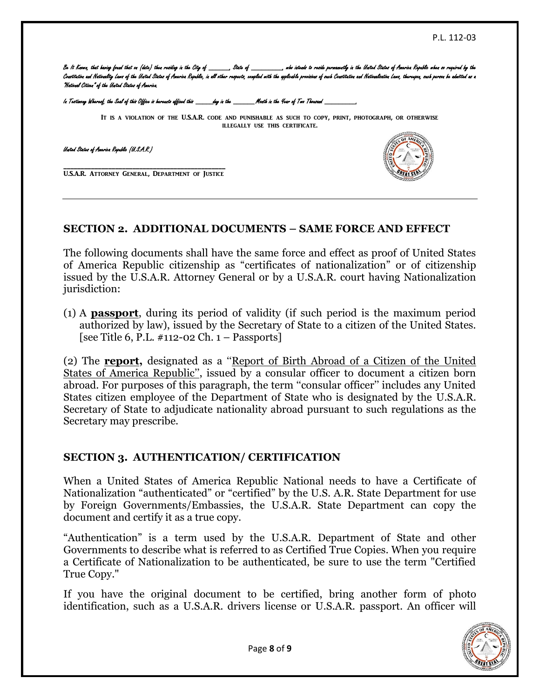Be It Known, that having found that on (date) then residing in the City of \_\_\_\_\_\_, State of \_ Constitution and Nationality Laws of the United States of America Republic, in all other respects, complied with the applicable provisions of such Constitution and Nationalization Laws, therespon, such person be admitted a "National Citizen" of the United States of America.

In Testimony Whereof, the Seal of this Office is hereunto affixed this \_\_\_\_\_day in the \_\_\_\_\_\_Month in the Year of Two Thousand \_

It is a violation of the U.S.A.R. code and punishable as such to copy, print, photograph, or otherwise illegally use this certificate.

United States of America Republic (U.S.A.R.)

\_\_\_\_\_\_\_\_\_\_\_\_\_\_\_\_\_\_\_\_\_\_\_\_\_\_\_\_\_\_\_\_\_\_\_\_\_\_\_\_\_\_\_\_\_\_\_ U.S.A.R. Attorney General, Department of Justice



#### **SECTION 2. ADDITIONAL DOCUMENTS – SAME FORCE AND EFFECT**

The following documents shall have the same force and effect as proof of United States of America Republic citizenship as "certificates of nationalization" or of citizenship issued by the U.S.A.R. Attorney General or by a U.S.A.R. court having Nationalization jurisdiction:

(1) A **passport**, during its period of validity (if such period is the maximum period authorized by law), issued by the Secretary of State to a citizen of the United States. [see Title 6, P.L.  $\#$ 112-02 Ch. 1 – Passports]

(2) The **report,** designated as a ''Report of Birth Abroad of a Citizen of the United States of America Republic'', issued by a consular officer to document a citizen born abroad. For purposes of this paragraph, the term ''consular officer'' includes any United States citizen employee of the Department of State who is designated by the U.S.A.R. Secretary of State to adjudicate nationality abroad pursuant to such regulations as the Secretary may prescribe.

#### **SECTION 3. AUTHENTICATION/ CERTIFICATION**

When a United States of America Republic National needs to have a Certificate of Nationalization "authenticated" or "certified" by the U.S. A.R. State Department for use by Foreign Governments/Embassies, the U.S.A.R. State Department can copy the document and certify it as a true copy.

"Authentication" is a term used by the U.S.A.R. Department of State and other Governments to describe what is referred to as Certified True Copies. When you require a Certificate of Nationalization to be authenticated, be sure to use the term "Certified True Copy."

If you have the original document to be certified, bring another form of photo identification, such as a U.S.A.R. drivers license or U.S.A.R. passport. An officer will